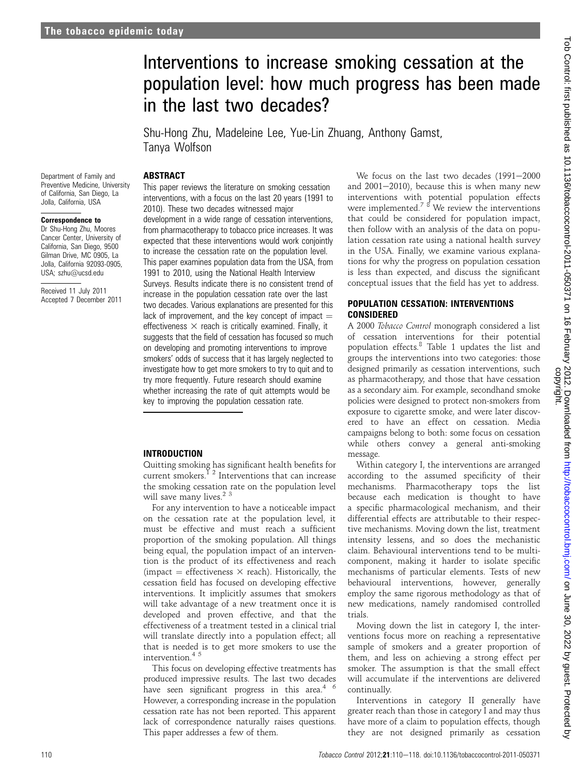# Interventions to increase smoking cessation at the population level: how much progress has been made in the last two decades?

Shu-Hong Zhu, Madeleine Lee, Yue-Lin Zhuang, Anthony Gamst, Tanya Wolfson

# **ABSTRACT**

Department of Family and Preventive Medicine, University of California, San Diego, La Jolla, California, USA

#### Correspondence to

Dr Shu-Hong Zhu, Moores Cancer Center, University of California, San Diego, 9500 Gilman Drive, MC 0905, La Jolla, California 92093-0905, USA; szhu@ucsd.edu

Received 11 July 2011 Accepted 7 December 2011 This paper reviews the literature on smoking cessation interventions, with a focus on the last 20 years (1991 to 2010). These two decades witnessed major

development in a wide range of cessation interventions, from pharmacotherapy to tobacco price increases. It was expected that these interventions would work conjointly to increase the cessation rate on the population level. This paper examines population data from the USA, from 1991 to 2010, using the National Health Interview

Surveys. Results indicate there is no consistent trend of increase in the population cessation rate over the last two decades. Various explanations are presented for this lack of improvement, and the key concept of impact  $=$ effectiveness  $\times$  reach is critically examined. Finally, it suggests that the field of cessation has focused so much on developing and promoting interventions to improve smokers' odds of success that it has largely neglected to investigate how to get more smokers to try to quit and to try more frequently. Future research should examine whether increasing the rate of quit attempts would be key to improving the population cessation rate.

# INTRODUCTION

Quitting smoking has significant health benefits for current smokers.<sup> $12$ </sup> Interventions that can increase the smoking cessation rate on the population level will save many lives.<sup>2 3</sup>

For any intervention to have a noticeable impact on the cessation rate at the population level, it must be effective and must reach a sufficient proportion of the smoking population. All things being equal, the population impact of an intervention is the product of its effectiveness and reach (impact = effectiveness  $\times$  reach). Historically, the cessation field has focused on developing effective interventions. It implicitly assumes that smokers will take advantage of a new treatment once it is developed and proven effective, and that the effectiveness of a treatment tested in a clinical trial will translate directly into a population effect; all that is needed is to get more smokers to use the intervention.<sup>4</sup> <sup>5</sup>

This focus on developing effective treatments has produced impressive results. The last two decades have seen significant progress in this area.<sup>4 6</sup> However, a corresponding increase in the population cessation rate has not been reported. This apparent lack of correspondence naturally raises questions. This paper addresses a few of them.

We focus on the last two decades  $(1991-2000$ and  $2001-2010$ ), because this is when many new interventions with potential population effects were implemented.<sup>78</sup> We review the interventions that could be considered for population impact, then follow with an analysis of the data on population cessation rate using a national health survey in the USA. Finally, we examine various explanations for why the progress on population cessation is less than expected, and discuss the significant conceptual issues that the field has yet to address.

# POPULATION CESSATION: INTERVENTIONS CONSIDERED

A 2000 Tobacco Control monograph considered a list of cessation interventions for their potential population effects.8 Table 1 updates the list and groups the interventions into two categories: those designed primarily as cessation interventions, such as pharmacotherapy, and those that have cessation as a secondary aim. For example, secondhand smoke policies were designed to protect non-smokers from exposure to cigarette smoke, and were later discovered to have an effect on cessation. Media campaigns belong to both: some focus on cessation while others convey a general anti-smoking message.

Within category I, the interventions are arranged according to the assumed specificity of their mechanisms. Pharmacotherapy tops the list because each medication is thought to have a specific pharmacological mechanism, and their differential effects are attributable to their respective mechanisms. Moving down the list, treatment intensity lessens, and so does the mechanistic claim. Behavioural interventions tend to be multicomponent, making it harder to isolate specific mechanisms of particular elements. Tests of new behavioural interventions, however, generally employ the same rigorous methodology as that of new medications, namely randomised controlled trials.

Moving down the list in category I, the interventions focus more on reaching a representative sample of smokers and a greater proportion of them, and less on achieving a strong effect per smoker. The assumption is that the small effect will accumulate if the interventions are delivered continually.

Interventions in category II generally have greater reach than those in category I and may thus have more of a claim to population effects, though they are not designed primarily as cessation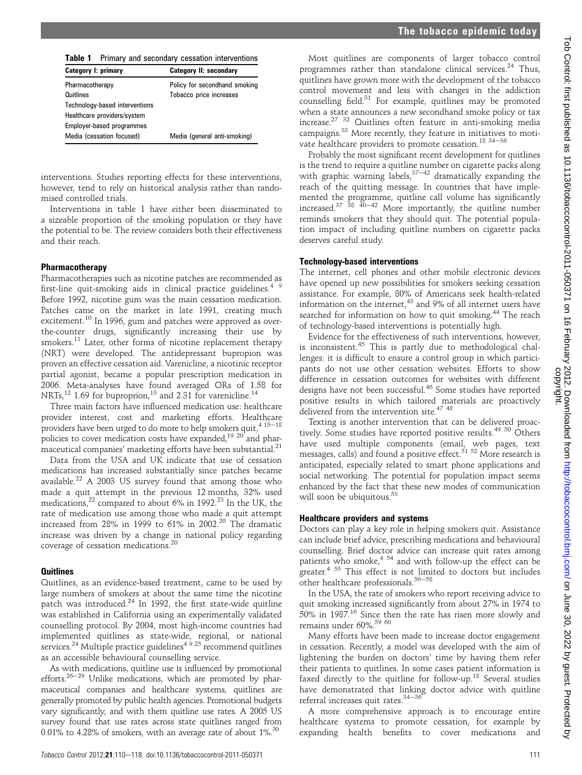|  |  |  |  | Table 1 Primary and secondary cessation interventions |
|--|--|--|--|-------------------------------------------------------|
|--|--|--|--|-------------------------------------------------------|

| Category I: primary              | <b>Category II: secondary</b> |  |  |
|----------------------------------|-------------------------------|--|--|
| Pharmacotherapy                  | Policy for secondhand smoking |  |  |
| Quitlines                        | Tobacco price increases       |  |  |
| Technology-based interventions   |                               |  |  |
| Healthcare providers/system      |                               |  |  |
| <b>Employer-based programmes</b> |                               |  |  |
| Media (cessation focused)        | Media (general anti-smoking)  |  |  |

interventions. Studies reporting effects for these interventions, however, tend to rely on historical analysis rather than randomised controlled trials.

Interventions in table 1 have either been disseminated to a sizeable proportion of the smoking population or they have the potential to be. The review considers both their effectiveness and their reach.

#### Pharmacotherapy

Pharmacotherapies such as nicotine patches are recommended as first-line quit-smoking aids in clinical practice guidelines.<sup>4  $\frac{9}{2}$ </sup> Before 1992, nicotine gum was the main cessation medication. Patches came on the market in late 1991, creating much excitement.<sup>10</sup> In 1996, gum and patches were approved as overthe-counter drugs, significantly increasing their use by smokers.<sup>11</sup> Later, other forms of nicotine replacement therapy (NRT) were developed. The antidepressant bupropion was proven an effective cessation aid. Varenicline, a nicotinic receptor partial agonist, became a popular prescription medication in 2006. Meta-analyses have found averaged ORs of 1.58 for NRTs,<sup>12</sup> 1.69 for buproprion,<sup>13</sup> and 2.31 for varenicline.<sup>14</sup>

Three main factors have influenced medication use: healthcare provider interest, cost and marketing efforts. Healthcare providers have been urged to do more to help smokers quit,  $4^{15-18}$ policies to cover medication costs have expanded, $19\,20$  and pharmaceutical companies' marketing efforts have been substantial.<sup>21</sup>

Data from the USA and UK indicate that use of cessation medications has increased substantially since patches became available.<sup>22</sup> A 2003 US survey found that among those who made a quit attempt in the previous 12 months, 32% used medications,<sup>22</sup> compared to about 6% in 1992.<sup>23</sup> In the UK, the rate of medication use among those who made a quit attempt increased from 28% in 1999 to 61% in 2002.<sup>20</sup> The dramatic increase was driven by a change in national policy regarding coverage of cessation medications.<sup>20</sup>

# **Quitlines**

Quitlines, as an evidence-based treatment, came to be used by large numbers of smokers at about the same time the nicotine patch was introduced. $^{24}$  In 1992, the first state-wide quitline was established in California using an experimentally validated counselling protocol. By 2004, most high-income countries had implemented quitlines as state-wide, regional, or national services.<sup>24</sup> Multiple practice guidelines<sup>4 9 25</sup> recommend quitlines as an accessible behavioural counselling service.

As with medications, quitline use is influenced by promotional efforts. $26-29$  Unlike medications, which are promoted by pharmaceutical companies and healthcare systems, quitlines are generally promoted by public health agencies. Promotional budgets vary significantly, and with them quitline use rates. A 2005 US survey found that use rates across state quitlines ranged from 0.01% to 4.28% of smokers, with an average rate of about  $1\%$ <sup>30</sup>

Most quitlines are components of larger tobacco control programmes rather than standalone clinical services.<sup>24</sup> Thus, quitlines have grown more with the development of the tobacco control movement and less with changes in the addiction counselling field. $31$  For example, quitlines may be promoted when a state announces a new secondhand smoke policy or tax increase.27 32 Quitlines often feature in anti-smoking media campaigns.<sup>33</sup> More recently, they feature in initiatives to motivate healthcare providers to promote cessation.<sup>18 34-36</sup>

Probably the most significant recent development for quitlines is the trend to require a quitline number on cigarette packs along with graphic warning labels, $37-42$  dramatically expanding the reach of the quitting message. In countries that have implemented the programme, quitline call volume has significantly increased.<sup>37</sup> <sup>38</sup>  $40-42$  More importantly, the quitline number reminds smokers that they should quit. The potential population impact of including quitline numbers on cigarette packs deserves careful study.

## Technology-based interventions

The internet, cell phones and other mobile electronic devices have opened up new possibilities for smokers seeking cessation assistance. For example, 80% of Americans seek health-related information on the internet.<sup>43</sup> and 9% of all internet users have searched for information on how to quit smoking.<sup>44</sup> The reach of technology-based interventions is potentially high.

Evidence for the effectiveness of such interventions, however, is inconsistent. $45$  This is partly due to methodological challenges: it is difficult to ensure a control group in which participants do not use other cessation websites. Efforts to show difference in cessation outcomes for websites with different designs have not been successful.<sup>46</sup> Some studies have reported positive results in which tailored materials are proactively delivered from the intervention site.<sup>47</sup> <sup>48</sup>

Texting is another intervention that can be delivered proactively. Some studies have reported positive results.<sup>49 50</sup> Others have used multiple components (email, web pages, text messages, calls) and found a positive effect.<sup>51 52</sup> More research is anticipated, especially related to smart phone applications and social networking. The potential for population impact seems enhanced by the fact that these new modes of communication will soon be ubiquitous.<sup>53</sup>

# Healthcare providers and systems

Doctors can play a key role in helping smokers quit. Assistance can include brief advice, prescribing medications and behavioural counselling. Brief doctor advice can increase quit rates among patients who smoke,<sup>4 54</sup> and with follow-up the effect can be greater.4 55 This effect is not limited to doctors but includes other healthcare professionals.  $^{56-58}$ 

In the USA, the rate of smokers who report receiving advice to quit smoking increased significantly from about 27% in 1974 to 50% in 1987.16 Since then the rate has risen more slowly and remains under  $60\%$ .<sup>59 60</sup>

Many efforts have been made to increase doctor engagement in cessation. Recently, a model was developed with the aim of lightening the burden on doctors' time by having them refer their patients to quitlines. In some cases patient information is faxed directly to the quitline for follow-up.<sup>18</sup> Several studies have demonstrated that linking doctor advice with quitline referral increases quit rates. $34-36$ 

A more comprehensive approach is to encourage entire healthcare systems to promote cessation, for example by expanding health benefits to cover medications and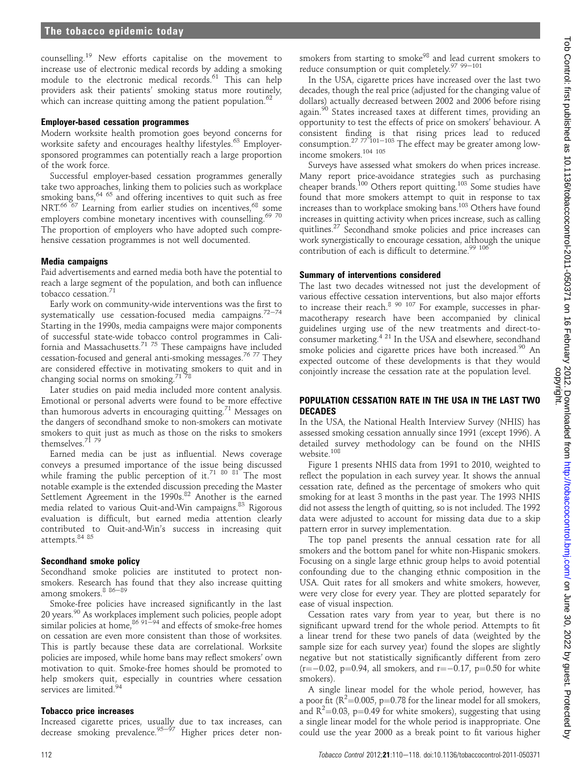counselling.<sup>19</sup> New efforts capitalise on the movement to increase use of electronic medical records by adding a smoking module to the electronic medical records.<sup>61</sup> This can help providers ask their patients' smoking status more routinely, which can increase quitting among the patient population.<sup>62</sup>

#### Employer-based cessation programmes

Modern worksite health promotion goes beyond concerns for worksite safety and encourages healthy lifestyles.<sup>63</sup> Employersponsored programmes can potentially reach a large proportion of the work force.

Successful employer-based cessation programmes generally take two approaches, linking them to policies such as workplace smoking bans,<sup>64 65</sup> and offering incentives to quit such as free NRT.<sup>66 67</sup> Learning from earlier studies on incentives,<sup>68</sup> some employers combine monetary incentives with counselling.<sup>69</sup> 70 The proportion of employers who have adopted such comprehensive cessation programmes is not well documented.

#### Media campaigns

Paid advertisements and earned media both have the potential to reach a large segment of the population, and both can influence tobacco cessation.<sup>71</sup>

Early work on community-wide interventions was the first to systematically use cessation-focused media campaigns. $72-74$ Starting in the 1990s, media campaigns were major components of successful state-wide tobacco control programmes in California and Massachusetts. $^{71\,\,75}$  These campaigns have included cessation-focused and general anti-smoking messages.76 77 They are considered effective in motivating smokers to quit and in changing social norms on smoking.<sup>71 78</sup>

Later studies on paid media included more content analysis. Emotional or personal adverts were found to be more effective than humorous adverts in encouraging quitting.<sup>71</sup> Messages on the dangers of secondhand smoke to non-smokers can motivate smokers to quit just as much as those on the risks to smokers themselves.<sup>71</sup>7

Earned media can be just as influential. News coverage conveys a presumed importance of the issue being discussed while framing the public perception of it.<sup>71 80 81</sup> The most notable example is the extended discussion preceding the Master Settlement Agreement in the 1990s.<sup>82</sup> Another is the earned media related to various Quit-and-Win campaigns.<sup>83</sup> Rigorous evaluation is difficult, but earned media attention clearly contributed to Quit-and-Win's success in increasing quit attempts. 84 85

#### Secondhand smoke policy

Secondhand smoke policies are instituted to protect nonsmokers. Research has found that they also increase quitting among smokers. $886-89$ 

Smoke-free policies have increased significantly in the last 20 years.<sup>90</sup> As workplaces implement such policies, people adopt similar policies at home,  $8691-94$  and effects of smoke-free homes on cessation are even more consistent than those of worksites. This is partly because these data are correlational. Worksite policies are imposed, while home bans may reflect smokers' own motivation to quit. Smoke-free homes should be promoted to help smokers quit, especially in countries where cessation services are limited.<sup>94</sup>

#### Tobacco price increases

Increased cigarette prices, usually due to tax increases, can decrease smoking prevalence.<sup>95-97</sup> Higher prices deter nonsmokers from starting to smoke<sup>98</sup> and lead current smokers to reduce consumption or quit completely.<sup>97</sup> 99-101

In the USA, cigarette prices have increased over the last two decades, though the real price (adjusted for the changing value of dollars) actually decreased between 2002 and 2006 before rising again.<sup>90</sup> States increased taxes at different times, providing an opportunity to test the effects of price on smokers' behaviour. A consistent finding is that rising prices lead to reduced consumption.<sup>27 77 101–103</sup> The effect may be greater among lowincome smokers.104 105

Surveys have assessed what smokers do when prices increase. Many report price-avoidance strategies such as purchasing cheaper brands.<sup>100</sup> Others report quitting.<sup>103</sup> Some studies have found that more smokers attempt to quit in response to tax increases than to workplace smoking bans.103 Others have found increases in quitting activity when prices increase, such as calling quitlines.27 Secondhand smoke policies and price increases can work synergistically to encourage cessation, although the unique contribution of each is difficult to determine.<sup>99</sup> <sup>106</sup>

#### Summary of interventions considered

The last two decades witnessed not just the development of various effective cessation interventions, but also major efforts to increase their reach.<sup>8 90 107</sup> For example, successes in pharmacotherapy research have been accompanied by clinical guidelines urging use of the new treatments and direct-toconsumer marketing.<sup>4 21</sup> In the USA and elsewhere, secondhand smoke policies and cigarette prices have both increased. $90$  An expected outcome of these developments is that they would conjointly increase the cessation rate at the population level.

# POPULATION CESSATION RATE IN THE USA IN THE LAST TWO DECADES

In the USA, the National Health Interview Survey (NHIS) has assessed smoking cessation annually since 1991 (except 1996). A detailed survey methodology can be found on the NHIS website.<sup>108</sup>

Figure 1 presents NHIS data from 1991 to 2010, weighted to reflect the population in each survey year. It shows the annual cessation rate, defined as the percentage of smokers who quit smoking for at least 3 months in the past year. The 1993 NHIS did not assess the length of quitting, so is not included. The 1992 data were adjusted to account for missing data due to a skip pattern error in survey implementation.

The top panel presents the annual cessation rate for all smokers and the bottom panel for white non-Hispanic smokers. Focusing on a single large ethnic group helps to avoid potential confounding due to the changing ethnic composition in the USA. Quit rates for all smokers and white smokers, however, were very close for every year. They are plotted separately for ease of visual inspection.

Cessation rates vary from year to year, but there is no significant upward trend for the whole period. Attempts to fit a linear trend for these two panels of data (weighted by the sample size for each survey year) found the slopes are slightly negative but not statistically significantly different from zero  $(r=-0.02, p=0.94,$  all smokers, and  $r=-0.17, p=0.50$  for white smokers).

A single linear model for the whole period, however, has a poor fit ( $\mathbb{R}^2$ =0.005, p=0.78 for the linear model for all smokers, and  $R^2$ =0.03, p=0.49 for white smokers), suggesting that using a single linear model for the whole period is inappropriate. One could use the year 2000 as a break point to fit various higher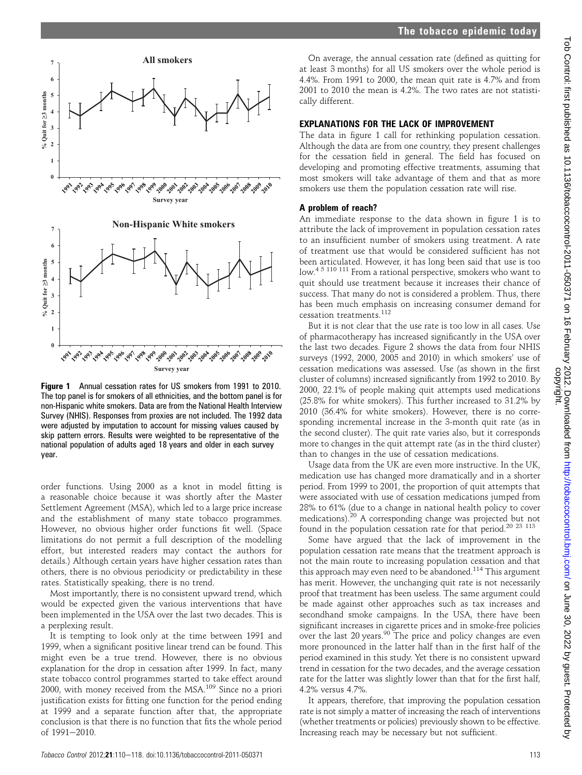



Figure 1 Annual cessation rates for US smokers from 1991 to 2010. The top panel is for smokers of all ethnicities, and the bottom panel is for non-Hispanic white smokers. Data are from the National Health Interview Survey (NHIS). Responses from proxies are not included. The 1992 data were adjusted by imputation to account for missing values caused by skip pattern errors. Results were weighted to be representative of the national population of adults aged 18 years and older in each survey year.

order functions. Using 2000 as a knot in model fitting is a reasonable choice because it was shortly after the Master Settlement Agreement (MSA), which led to a large price increase and the establishment of many state tobacco programmes. However, no obvious higher order functions fit well. (Space limitations do not permit a full description of the modelling effort, but interested readers may contact the authors for details.) Although certain years have higher cessation rates than others, there is no obvious periodicity or predictability in these rates. Statistically speaking, there is no trend.

Most importantly, there is no consistent upward trend, which would be expected given the various interventions that have been implemented in the USA over the last two decades. This is a perplexing result.

It is tempting to look only at the time between 1991 and 1999, when a significant positive linear trend can be found. This might even be a true trend. However, there is no obvious explanation for the drop in cessation after 1999. In fact, many state tobacco control programmes started to take effect around 2000, with money received from the MSA.<sup>109</sup> Since no a priori justification exists for fitting one function for the period ending at 1999 and a separate function after that, the appropriate conclusion is that there is no function that fits the whole period of 1991-2010.

On average, the annual cessation rate (defined as quitting for at least 3 months) for all US smokers over the whole period is 4.4%. From 1991 to 2000, the mean quit rate is 4.7% and from 2001 to 2010 the mean is 4.2%. The two rates are not statistically different.

#### EXPLANATIONS FOR THE LACK OF IMPROVEMENT

The data in figure 1 call for rethinking population cessation. Although the data are from one country, they present challenges for the cessation field in general. The field has focused on developing and promoting effective treatments, assuming that most smokers will take advantage of them and that as more smokers use them the population cessation rate will rise.

## A problem of reach?

An immediate response to the data shown in figure 1 is to attribute the lack of improvement in population cessation rates to an insufficient number of smokers using treatment. A rate of treatment use that would be considered sufficient has not been articulated. However, it has long been said that use is too low.<sup>4</sup> 5 110 111 From a rational perspective, smokers who want to quit should use treatment because it increases their chance of success. That many do not is considered a problem. Thus, there has been much emphasis on increasing consumer demand for cessation treatments.<sup>112</sup>

But it is not clear that the use rate is too low in all cases. Use of pharmacotherapy has increased significantly in the USA over the last two decades. Figure 2 shows the data from four NHIS surveys (1992, 2000, 2005 and 2010) in which smokers' use of cessation medications was assessed. Use (as shown in the first cluster of columns) increased significantly from 1992 to 2010. By 2000, 22.1% of people making quit attempts used medications (25.8% for white smokers). This further increased to 31.2% by 2010 (36.4% for white smokers). However, there is no corresponding incremental increase in the 3-month quit rate (as in the second cluster). The quit rate varies also, but it corresponds more to changes in the quit attempt rate (as in the third cluster) than to changes in the use of cessation medications.

Usage data from the UK are even more instructive. In the UK, medication use has changed more dramatically and in a shorter period. From 1999 to 2001, the proportion of quit attempts that were associated with use of cessation medications jumped from 28% to 61% (due to a change in national health policy to cover medications).<sup>20</sup> A corresponding change was projected but not found in the population cessation rate for that period.20 23 113

Some have argued that the lack of improvement in the population cessation rate means that the treatment approach is not the main route to increasing population cessation and that this approach may even need to be abandoned.<sup>114</sup> This argument has merit. However, the unchanging quit rate is not necessarily proof that treatment has been useless. The same argument could be made against other approaches such as tax increases and secondhand smoke campaigns. In the USA, there have been significant increases in cigarette prices and in smoke-free policies over the last 20 years.<sup>90</sup> The price and policy changes are even more pronounced in the latter half than in the first half of the period examined in this study. Yet there is no consistent upward trend in cessation for the two decades, and the average cessation rate for the latter was slightly lower than that for the first half, 4.2% versus 4.7%.

It appears, therefore, that improving the population cessation rate is not simply a matter of increasing the reach of interventions (whether treatments or policies) previously shown to be effective. Increasing reach may be necessary but not sufficient.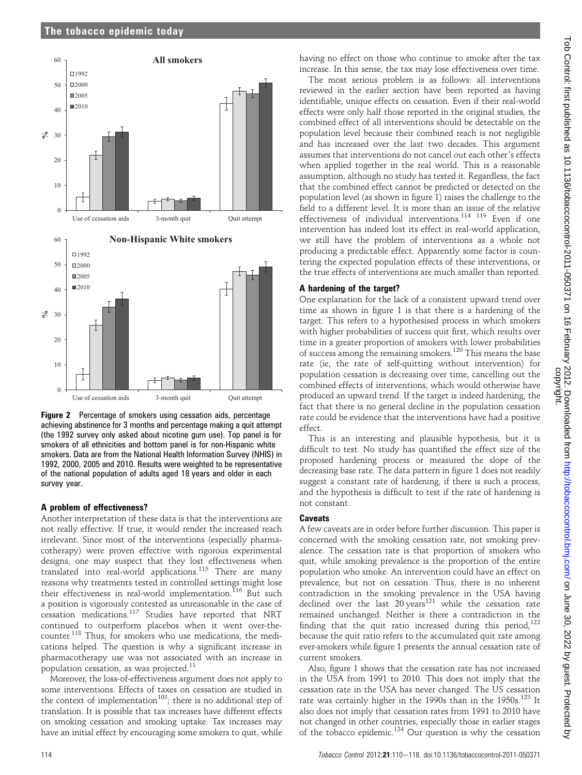

Figure 2 Percentage of smokers using cessation aids, percentage achieving abstinence for 3 months and percentage making a quit attempt (the 1992 survey only asked about nicotine gum use). Top panel is for smokers of all ethnicities and bottom panel is for non-Hispanic white smokers. Data are from the National Health Information Survey (NHIS) in 1992, 2000, 2005 and 2010. Results were weighted to be representative of the national population of adults aged 18 years and older in each survey year.

# A problem of effectiveness?

Another interpretation of these data is that the interventions are not really effective. If true, it would render the increased reach irrelevant. Since most of the interventions (especially pharmacotherapy) were proven effective with rigorous experimental designs, one may suspect that they lost effectiveness when translated into real-world applications.<sup>115</sup> There are many reasons why treatments tested in controlled settings might lose their effectiveness in real-world implementation.<sup>116</sup> But such a position is vigorously contested as unreasonable in the case of cessation medications.<sup>117</sup> Studies have reported that NRT continued to outperform placebos when it went over-thecounter.118 Thus, for smokers who use medications, the medications helped. The question is why a significant increase in pharmacotherapy use was not associated with an increase in population cessation, as was projected.<sup>11</sup>

Moreover, the loss-of-effectiveness argument does not apply to some interventions. Effects of taxes on cessation are studied in the context of implementation<sup>103</sup>; there is no additional step of translation. It is possible that tax increases have different effects on smoking cessation and smoking uptake. Tax increases may have an initial effect by encouraging some smokers to quit, while

having no effect on those who continue to smoke after the tax increase. In this sense, the tax may lose effectiveness over time.

The most serious problem is as follows: all interventions reviewed in the earlier section have been reported as having identifiable, unique effects on cessation. Even if their real-world effects were only half those reported in the original studies, the combined effect of all interventions should be detectable on the population level because their combined reach is not negligible and has increased over the last two decades. This argument assumes that interventions do not cancel out each other's effects when applied together in the real world. This is a reasonable assumption, although no study has tested it. Regardless, the fact that the combined effect cannot be predicted or detected on the population level (as shown in figure 1) raises the challenge to the field to a different level. It is more than an issue of the relative effectiveness of individual interventions.<sup>114 119</sup> Even if one intervention has indeed lost its effect in real-world application, we still have the problem of interventions as a whole not producing a predictable effect. Apparently some factor is countering the expected population effects of these interventions, or the true effects of interventions are much smaller than reported.

# A hardening of the target?

One explanation for the lack of a consistent upward trend over time as shown in figure 1 is that there is a hardening of the target. This refers to a hypothesised process in which smokers with higher probabilities of success quit first, which results over time in a greater proportion of smokers with lower probabilities of success among the remaining smokers.120 This means the base rate (ie, the rate of self-quitting without intervention) for population cessation is decreasing over time, cancelling out the combined effects of interventions, which would otherwise have produced an upward trend. If the target is indeed hardening, the fact that there is no general decline in the population cessation rate could be evidence that the interventions have had a positive effect.

This is an interesting and plausible hypothesis, but it is difficult to test. No study has quantified the effect size of the proposed hardening process or measured the slope of the decreasing base rate. The data pattern in figure 1 does not readily suggest a constant rate of hardening, if there is such a process, and the hypothesis is difficult to test if the rate of hardening is not constant.

# **Caveats**

A few caveats are in order before further discussion. This paper is concerned with the smoking cessation rate, not smoking prevalence. The cessation rate is that proportion of smokers who quit, while smoking prevalence is the proportion of the entire population who smoke. An intervention could have an effect on prevalence, but not on cessation. Thus, there is no inherent contradiction in the smoking prevalence in the USA having declined over the last 20 years<sup>121</sup> while the cessation rate remained unchanged. Neither is there a contradiction in the finding that the quit ratio increased during this period, $^{122}$ because the quit ratio refers to the accumulated quit rate among ever-smokers while figure 1 presents the annual cessation rate of current smokers.

Also, figure 1 shows that the cessation rate has not increased in the USA from 1991 to 2010. This does not imply that the cessation rate in the USA has never changed. The US cessation rate was certainly higher in the 1990s than in the 1950s.<sup>123</sup> It also does not imply that cessation rates from 1991 to 2010 have not changed in other countries, especially those in earlier stages of the tobacco epidemic.<sup>124</sup> Our question is why the cessation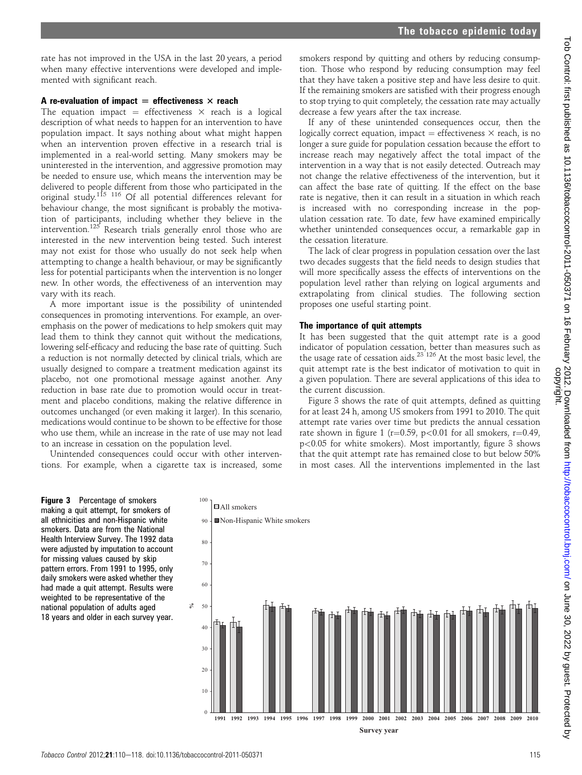rate has not improved in the USA in the last 20 years, a period when many effective interventions were developed and implemented with significant reach.

### A re-evaluation of impact  $=$  effectiveness  $\times$  reach

The equation impact = effectiveness  $\times$  reach is a logical description of what needs to happen for an intervention to have population impact. It says nothing about what might happen when an intervention proven effective in a research trial is implemented in a real-world setting. Many smokers may be uninterested in the intervention, and aggressive promotion may be needed to ensure use, which means the intervention may be delivered to people different from those who participated in the original study.<sup>115</sup> <sup>116</sup> Of all potential differences relevant for behaviour change, the most significant is probably the motivation of participants, including whether they believe in the intervention.<sup>125</sup> Research trials generally enrol those who are interested in the new intervention being tested. Such interest may not exist for those who usually do not seek help when attempting to change a health behaviour, or may be significantly less for potential participants when the intervention is no longer new. In other words, the effectiveness of an intervention may vary with its reach.

A more important issue is the possibility of unintended consequences in promoting interventions. For example, an overemphasis on the power of medications to help smokers quit may lead them to think they cannot quit without the medications, lowering self-efficacy and reducing the base rate of quitting. Such a reduction is not normally detected by clinical trials, which are usually designed to compare a treatment medication against its placebo, not one promotional message against another. Any reduction in base rate due to promotion would occur in treatment and placebo conditions, making the relative difference in outcomes unchanged (or even making it larger). In this scenario, medications would continue to be shown to be effective for those who use them, while an increase in the rate of use may not lead to an increase in cessation on the population level.

Unintended consequences could occur with other interventions. For example, when a cigarette tax is increased, some

smokers respond by quitting and others by reducing consumption. Those who respond by reducing consumption may feel that they have taken a positive step and have less desire to quit. If the remaining smokers are satisfied with their progress enough to stop trying to quit completely, the cessation rate may actually decrease a few years after the tax increase.

If any of these unintended consequences occur, then the logically correct equation, impact = effectiveness  $\times$  reach, is no longer a sure guide for population cessation because the effort to increase reach may negatively affect the total impact of the intervention in a way that is not easily detected. Outreach may not change the relative effectiveness of the intervention, but it can affect the base rate of quitting. If the effect on the base rate is negative, then it can result in a situation in which reach is increased with no corresponding increase in the population cessation rate. To date, few have examined empirically whether unintended consequences occur, a remarkable gap in the cessation literature.

The lack of clear progress in population cessation over the last two decades suggests that the field needs to design studies that will more specifically assess the effects of interventions on the population level rather than relying on logical arguments and extrapolating from clinical studies. The following section proposes one useful starting point.

# The importance of quit attempts

It has been suggested that the quit attempt rate is a good indicator of population cessation, better than measures such as the usage rate of cessation aids.<sup>23 126</sup> At the most basic level, the quit attempt rate is the best indicator of motivation to quit in a given population. There are several applications of this idea to the current discussion.

Figure 3 shows the rate of quit attempts, defined as quitting for at least 24 h, among US smokers from 1991 to 2010. The quit attempt rate varies over time but predicts the annual cessation rate shown in figure 1 (r=0.59, p<0.01 for all smokers, r=0.49, p<0.05 for white smokers). Most importantly, figure 3 shows that the quit attempt rate has remained close to but below 50% in most cases. All the interventions implemented in the last

Figure 3 Percentage of smokers making a quit attempt, for smokers of all ethnicities and non-Hispanic white smokers. Data are from the National Health Interview Survey. The 1992 data were adjusted by imputation to account for missing values caused by skip pattern errors. From 1991 to 1995, only daily smokers were asked whether they had made a quit attempt. Results were weighted to be representative of the national population of adults aged 18 years and older in each survey year.

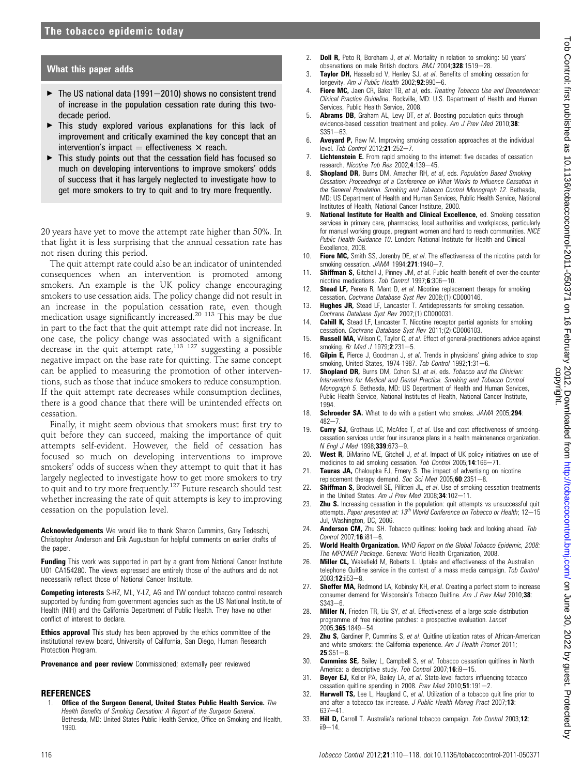#### What this paper adds

- $\blacktriangleright$  The US national data (1991-2010) shows no consistent trend of increase in the population cessation rate during this twodecade period.
- $\blacktriangleright$  This study explored various explanations for this lack of improvement and critically examined the key concept that an intervention's impact  $=$  effectiveness  $\times$  reach.
- $\triangleright$  This study points out that the cessation field has focused so much on developing interventions to improve smokers' odds of success that it has largely neglected to investigate how to get more smokers to try to quit and to try more frequently.

20 years have yet to move the attempt rate higher than 50%. In that light it is less surprising that the annual cessation rate has not risen during this period.

The quit attempt rate could also be an indicator of unintended consequences when an intervention is promoted among smokers. An example is the UK policy change encouraging smokers to use cessation aids. The policy change did not result in an increase in the population cessation rate, even though medication usage significantly increased.<sup>20 113</sup> This may be due in part to the fact that the quit attempt rate did not increase. In one case, the policy change was associated with a significant decrease in the quit attempt rate, $^{113}$   $^{127}$  suggesting a possible negative impact on the base rate for quitting. The same concept can be applied to measuring the promotion of other interventions, such as those that induce smokers to reduce consumption. If the quit attempt rate decreases while consumption declines, there is a good chance that there will be unintended effects on cessation.

Finally, it might seem obvious that smokers must first try to quit before they can succeed, making the importance of quit attempts self-evident. However, the field of cessation has focused so much on developing interventions to improve smokers' odds of success when they attempt to quit that it has largely neglected to investigate how to get more smokers to try to quit and to try more frequently.<sup>127</sup> Future research should test whether increasing the rate of quit attempts is key to improving cessation on the population level.

Acknowledgements We would like to thank Sharon Cummins, Gary Tedeschi, Christopher Anderson and Erik Augustson for helpful comments on earlier drafts of the paper.

Funding This work was supported in part by a grant from National Cancer Institute U01 CA154280. The views expressed are entirely those of the authors and do not necessarily reflect those of National Cancer Institute.

Competing interests S-HZ, ML, Y-LZ, AG and TW conduct tobacco control research supported by funding from government agencies such as the US National Institute of Health (NIH) and the California Department of Public Health. They have no other conflict of interest to declare.

**Ethics approval** This study has been approved by the ethics committee of the institutional review board, University of California, San Diego, Human Research Protection Program.

Provenance and peer review Commissioned; externally peer reviewed

#### **REFERENCES**

1. Office of the Surgeon General, United States Public Health Service. The Health Benefits of Smoking Cessation: A Report of the Surgeon General. Bethesda, MD: United States Public Health Service, Office on Smoking and Health, 1990.

- 2. **Doll R**, Peto R, Boreham J, et al. Mortality in relation to smoking: 50 years' observations on male British doctors.  $B$ MJ 2004;328:1519-28.
- 3. Taylor DH, Hasselblad V, Henley SJ, et al. Benefits of smoking cessation for longevity. Am J Public Health 2002;92:990-6.
- Fiore MC, Jaen CR, Baker TB, et al, eds. Treating Tobacco Use and Dependence: Clinical Practice Guideline. Rockville, MD: U.S. Department of Health and Human Services, Public Health Service, 2008.
- 5. **Abrams DB,** Graham AL, Levy DT, et al. Boosting population quits through evidence-based cessation treatment and policy. Am J Prev Med 2010;38:  $S351 - 63$
- 6. Aveyard P, Raw M. Improving smoking cessation approaches at the individual level. Tob Control  $2012:21:252-7$ .
- 7. Lichtenstein E. From rapid smoking to the internet: five decades of cessation research. Nicotine Tob Res 2002;4:139-45.
- **Shopland DR, Burns DM, Amacher RH, et al, eds. Population Based Smoking** Cessation: Proceedings of a Conference on What Works to Influence Cessation in the General Population. Smoking and Tobacco Control Monograph 12. Bethesda, MD: US Department of Health and Human Services, Public Health Service, National Institutes of Health, National Cancer Institute, 2000.
- 9. National Institute for Health and Clinical Excellence, ed. Smoking cessation services in primary care, pharmacies, local authorities and workplaces, particularly for manual working groups, pregnant women and hard to reach communities. NICE Public Health Guidance 10. London: National Institute for Health and Clinical Excellence, 2008.
- 10. **Fiore MC.** Smith SS, Jorenby DE, et al. The effectiveness of the nicotine patch for smoking cessation.  $JAMA$  1994;271:1940-7.
- 11. Shiffman S, Gitchell J, Pinney JM, et al. Public health benefit of over-the-counter nicotine medications. Tob Control 1997;6:306-10.
- 12. Stead LF, Perera R, Mant D, et al. Nicotine replacement therapy for smoking cessation. Cochrane Database Syst Rev 2008;(1):CD000146.
- 13. Hughes JR, Stead LF, Lancaster T. Antidepressants for smoking cessation. Cochrane Database Syst Rev 2007;(1):CD000031.
- 14. **Cahill K,** Stead LF, Lancaster T. Nicotine receptor partial agonists for smoking cessation. Cochrane Database Syst Rev 2011;(2):CD006103.
- **Russell MA, Wilson C. Taylor C, et al. Effect of general-practitioners advice against** smoking. Br Med J 1979: $2:231-5$ .
- 16. **Gilpin E,** Pierce J, Goodman J, et al. Trends in physicians' giving advice to stop smoking, United States, 1974-1987. Tob Control 1992;1:31-6.
- 17. Shopland DR, Burns DM, Cohen SJ, et al, eds. Tobacco and the Clinician: Interventions for Medical and Dental Practice. Smoking and Tobacco Control Monograph 5. Bethesda, MD: US Department of Health and Human Services, Public Health Service, National Institutes of Health, National Cancer Institute, 1994.
- 18. Schroeder SA. What to do with a patient who smokes. JAMA 2005;294:  $482 - 7$
- 19. Curry SJ, Grothaus LC, McAfee T, et al. Use and cost effectiveness of smokingcessation services under four insurance plans in a health maintenance organization. N Engl J Med 1998;339:673-9.
- 20. West R, DiMarino ME, Gitchell J, et al. Impact of UK policy initiatives on use of medicines to aid smoking cessation. Tob Control 2005;14:166-71.
- 21. Tauras JA, Chaloupka FJ, Emery S. The impact of advertising on nicotine replacement therapy demand. Soc Sci Med 2005; $60:2351-8$ .
- 22. Shiffman S, Brockwell SE, Pillitteri JL, et al. Use of smoking-cessation treatments in the United States. Am J Prev Med  $2008;34:102-11$ .
- 23. **Zhu S.** Increasing cessation in the population: quit attempts vs unsuccessful quit attempts. Paper presented at:  $13^{th}$  World Conference on Tobacco or Health; 12-15 Jul, Washington, DC, 2006.
- 24. Anderson CM, Zhu SH. Tobacco quitlines: looking back and looking ahead. Tob Control 2007;16:i81-6.
- 25. World Health Organization. WHO Report on the Global Tobacco Epidemic, 2008: The MPOWER Package. Geneva: World Health Organization, 2008.
- 26. **Miller CL,** Wakefield M, Roberts L. Uptake and effectiveness of the Australian telephone Quitline service in the context of a mass media campaign. Tob Control 2003:12:ii53-8.
- 27. Sheffer MA, Redmond LA, Kobinsky KH, et al. Creating a perfect storm to increase consumer demand for Wisconsin's Tobacco Quitline. Am J Prev Med 2010;38:  $S343 - 6$
- 28. **Miller N,** Frieden TR, Liu SY, et al. Effectiveness of a large-scale distribution programme of free nicotine patches: a prospective evaluation. Lancet 2005;365:1849-54.
- 29. **Zhu S,** Gardiner P, Cummins S, et al. Quitline utilization rates of African-American and white smokers: the California experience. Am J Health Promot 2011;  $25:$ S51-8.
- 30. **Cummins SE,** Bailey L, Campbell S, et al. Tobacco cessation quitlines in North America: a descriptive study. Tob Control 2007;16:i9-15.
- 31. Beyer EJ, Keller PA, Bailey LA, et al. State-level factors influencing tobacco cessation quitline spending in 2008. Prev Med 2010;51:191-2.
- 32. Harwell TS, Lee L, Haugland C, et al. Utilization of a tobacco quit line prior to and after a tobacco tax increase. J Public Health Manag Pract 2007;13:  $637 - 41$
- 33. Hill D, Carroll T. Australia's national tobacco campaign. Tob Control 2003;12:  $ii9 - 14$ .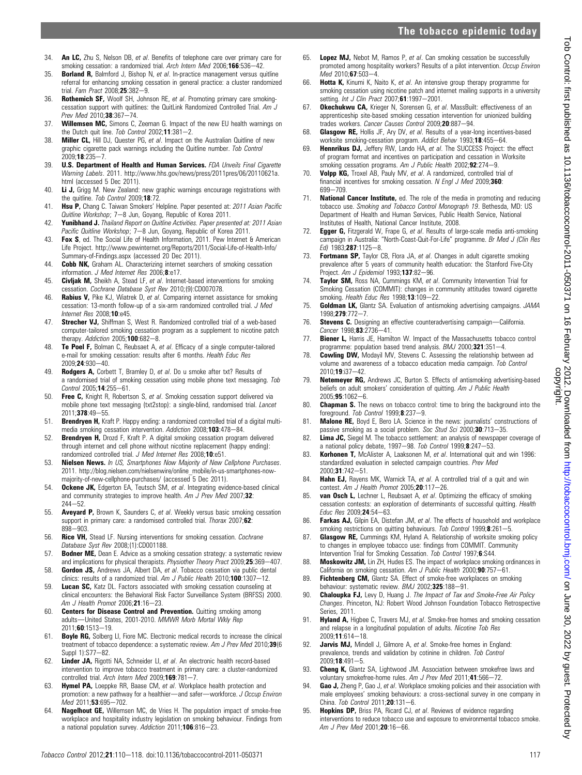# The tobacco epidemic today

- 34. An LC, Zhu S, Nelson DB, et al. Benefits of telephone care over primary care for smoking cessation: a randomized trial. Arch Intern Med 2006;166:536-42.
- 35. **Borland R,** Balmford J, Bishop N, et al. In-practice management versus quitline referral for enhancing smoking cessation in general practice: a cluster randomized trial. Fam Pract  $2008:25:382-9$ .
- 36. Rothemich SF, Woolf SH, Johnson RE, et al. Promoting primary care smokingcessation support with quitlines: the QuitLink Randomized Controlled Trial. Am J Prev Med 2010;38:367-74.
- 37. Willemsen MC, Simons C, Zeeman G. Impact of the new EU health warnings on the Dutch quit line. Tob Control  $2002; 11:381-2$ .
- 38. **Miller CL,** Hill DJ, Quester PG, et al. Impact on the Australian Quitline of new graphic cigarette pack warnings including the Quitline number. Tob Control  $2009:18:235 - 7$
- 39. **U.S. Department of Health and Human Services.** FDA Unveils Final Cigarette Warning Labels. 2011. http://www.hhs.gov/news/press/2011pres/06/20110621a. html (accessed 5 Dec 2011).
- 40. Li J, Grigg M. New Zealand: new graphic warnings encourage registrations with the quitline. Tob Control 2009;18:72.
- 41. **Hsu P,** Chang C. Taiwan Smokers' Helpline. Paper pesented at: 2011 Asian Pacific Quitline Workshop; 7-8 Jun, Goyang, Republic of Korea 2011.
- 42. **Yunibhand J.** Thailand Report on Quitline Activities. Paper presented at: 2011 Asian Pacific Quitline Workshop; 7-8 Jun, Goyang, Republic of Korea 2011.
- 43. Fox S, ed. The Social Life of Health Information, 2011. Pew Internet & American Life Project. http://www.pewinternet.org/Reports/2011/Social-Life-of-Health-Info/ Summary-of-Findings.aspx (accessed 20 Dec 2011).
- 44. Cobb NK, Graham AL. Characterizing internet searchers of smoking cessation information. J Med Internet Res 2006;8:e17.
- 45. Civljak M, Sheikh A, Stead LF, et al. Internet-based interventions for smoking cessation. Cochrane Database Syst Rev 2010;(9):CD007078.
- 46. **Rabius V,** Pike KJ, Wiatrek D, et al. Comparing internet assistance for smoking cessation: 13-month follow-up of a six-arm randomized controlled trial. J Med Internet Res 2008;10:e45
- 47. Strecher VJ, Shiffman S, West R. Randomized controlled trial of a web-based computer-tailored smoking cessation program as a supplement to nicotine patch therapy. Addiction  $2005:100:682-8$ .
- 48. Te Poel F, Bolman C, Reubsaet A, et al. Efficacy of a single computer-tailored e-mail for smoking cessation: results after 6 months. Health Educ Res 2009;24:930-40.
- 49. Rodgers A, Corbett T, Bramley D, et al. Do u smoke after txt? Results of a randomised trial of smoking cessation using mobile phone text messaging. Tob  $Control$  2005;14:255-61.
- 50. Free C, Knight R, Robertson S, et al. Smoking cessation support delivered via mobile phone text messaging (txt2stop): a single-blind, randomised trial. Lancet 2011:378:49-55
- 51. **Brendryen H,** Kraft P. Happy ending: a randomized controlled trial of a digital multimedia smoking cessation intervention. Addiction 2008;103:478-84.
- 52. Brendryen H, Drozd F, Kraft P. A digital smoking cessation program delivered through internet and cell phone without nicotine replacement (happy ending): randomized controlled trial. J Med Internet Res 2008;10:e51.
- 53. Nielsen News. In US, Smartphones Now Majority of New Cellphone Purchases. 2011. http://blog.nielsen.com/nielsenwire/online\_mobile/in-us-smartphones-nowmajority-of-new-cellphone-purchases/ (accessed 5 Dec 2011).
- 54. Ockene JK, Edgerton EA, Teutsch SM, et al. Integrating evidence-based clinical and community strategies to improve health. Am J Prev Med 2007;32: 244-52
- 55. Aveyard P, Brown K, Saunders C, et al. Weekly versus basic smoking cessation support in primary care: a randomised controlled trial. Thorax 2007;62: 898-903.
- 56. Rice VH, Stead LF. Nursing interventions for smoking cessation. Cochrane Database Syst Rev 2008;(1):CD001188.
- 57. **Bodner ME,** Dean E. Advice as a smoking cessation strategy: a systematic review and implications for physical therapists. Physiother Theory Pract 2009;25:369-407.
- 58. Gordon JS, Andrews JA, Albert DA, et al. Tobacco cessation via public dental clinics: results of a randomized trial.  $Am J$  Public Health 2010;100:1307-12.
- 59. Lucan SC, Katz DL. Factors associated with smoking cessation counseling at clinical encounters: the Behavioral Risk Factor Surveillance System (BRFSS) 2000. Am J Health Promot 2006;21:16-23.
- 60. Centers for Disease Control and Prevention. Quitting smoking among adults-United States, 2001-2010. MMWR Morb Mortal Wkly Rep  $2011:60:1513-19.$
- 61. Boyle RG, Solberg LI, Fiore MC. Electronic medical records to increase the clinical treatment of tobacco dependence: a systematic review. Am J Prev Med 2010;39(6 Suppl 1):S77-82.
- 62. Linder JA, Rigotti NA, Schneider LI, et al. An electronic health record-based intervention to improve tobacco treatment in primary care: a cluster-randomized controlled trial. Arch Intern Med 2009:169:781-7.
- 63. Hymel PA, Loeppke RR, Baase CM, et al. Workplace health protection and promotion: a new pathway for a healthier-and safer-workforce. J Occup Environ Med 2011;53:695-702.
- 64. Nagelhout GE, Willemsen MC, de Vries H. The population impact of smoke-free workplace and hospitality industry legislation on smoking behaviour. Findings from a national population survey. Addiction 2011;106:816-23.
- 65. Lonez MJ. Nebot M. Ramos P, et al. Can smoking cessation be successfully promoted among hospitality workers? Results of a pilot intervention. Occup Environ Med 2010;67:503-4.
- 66. Hotta K, Kinumi K, Naito K, et al. An intensive group therapy programme for smoking cessation using nicotine patch and internet mailing supports in a university setting. Int J Clin Pract 2007;61:1997-2001.
- 67. Okechukwu CA, Krieger N, Sorensen G, et al. MassBuilt: effectiveness of an apprenticeship site-based smoking cessation intervention for unionized building trades workers. Cancer Causes Control 2009;20:887-94.
- 68. **Glasgow RE,** Hollis JF, Ary DV, et al. Results of a year-long incentives-based worksite smoking-cessation program. Addict Behav 1993;18:455-64.
- 69. **Hennrikus DJ,** Jeffery RW, Lando HA, et al. The SUCCESS Project: the effect of program format and incentives on participation and cessation in Worksite smoking cessation programs. Am J Public Health 2002;92:274-9.
- Volpp KG, Troxel AB, Pauly MV, et al. A randomized, controlled trial of financial incentives for smoking cessation. N Engl J Med 2009;360: 699e709.
- 71. National Cancer Institute, ed. The role of the media in promoting and reducing tobacco use. Smoking and Tobacco Control Monograph 19. Bethesda, MD: US Department of Health and Human Services, Public Health Service, National Institutes of Health, National Cancer Institute, 2008.
- **Egger G,** Fitzgerald W, Frape G, et al. Results of large-scale media anti-smoking campaign in Australia: "North-Coast-Quit-For-Life" programme. Br Med J (Clin Res  $Ed$  1983:287:1125-8.
- 73. Fortmann SP, Taylor CB, Flora JA, et al. Changes in adult cigarette smoking prevalence after 5 years of community health education: the Stanford Five-City Project. Am J Epidemiol 1993;137:82-96.
- 74. Taylor SM, Ross NA, Cummings KM, et al. Community Intervention Trial for Smoking Cessation (COMMIT): changes in community attitudes toward cigarette smoking. Health Educ Res  $1998; 13:109-22$ .
- 75. Goldman LK, Glantz SA. Evaluation of antismoking advertising campaigns. JAMA 1998:279:772-7.
- 76. Stevens C. Designing an effective counteradvertising campaign-California Cancer 1998;83:2736-41.
- 77. **Biener L.** Harris JE. Hamilton W. Impact of the Massachusetts tobacco control programme: population based trend analysis. BMJ 2000;321:351-4.
- 78. **Cowling DW, Modayil MV, Stevens C. Assessing the relationship between ad** volume and awareness of a tobacco education media campaign. Tob Control  $2010 \cdot 19 \cdot 37 - 42$
- 79. **Netemeyer RG,** Andrews JC, Burton S. Effects of antismoking advertising-based beliefs on adult smokers' consideration of quitting. Am J Public Health  $2005;95:1062-6.$
- 80. Chapman S. The news on tobacco control: time to bring the background into the foreground. Tob Control 1999; $8:237-9$ .
- 81. **Malone RE,** Boyd E, Bero LA. Science in the news: journalists' constructions of passive smoking as a social problem. Soc Stud Sci 2000;30:713-35.
- 82. Lima JC, Siegel M. The tobacco settlement: an analysis of newspaper coverage of a national policy debate, 1997-98. Tob Control 1999; $8:247-53$ .
- 83. Korhonen T, McAlister A, Laaksonen M, et al. International quit and win 1996: standardized evaluation in selected campaign countries. Prev Med  $2000:31:742 - 51$
- 84. Hahn EJ, Rayens MK, Warnick TA, et al. A controlled trial of a quit and win contest. Am  $J$  Health Promot 2005;20:117-26.
- 85. van Osch L, Lechner L, Reubsaet A, et al. Optimizing the efficacy of smoking cessation contests: an exploration of determinants of successful quitting. Health  $Fduc$  Res 2009; 24:54-63.
- 86. Farkas AJ, Gilpin EA, Distefan JM, et al. The effects of household and workplace smoking restrictions on quitting behaviours. Tob Control 1999;8:261-5.
- 87. **Glasgow RE,** Cummings KM, Hyland A. Relationship of worksite smoking policy to changes in employee tobacco use: findings from COMMIT. Community Intervention Trial for Smoking Cessation. Tob Control 1997;6:S44.
- 88. Moskowitz JM, Lin ZH, Hudes ES. The impact of workplace smoking ordinances in California on smoking cessation. Am J Public Health  $2000$ ; 90:757-61.
- 89. Fichtenberg CM, Glantz SA. Effect of smoke-free workplaces on smoking behaviour: systematic review. BMJ 2002;325:188-91.
- 90. **Chaloupka FJ,** Levy D, Huang J. The Impact of Tax and Smoke-Free Air Policy Changes. Princeton, NJ: Robert Wood Johnson Foundation Tobacco Retrospective Series, 2011.
- 91. Hyland A, Higbee C, Travers MJ, et al. Smoke-free homes and smoking cessation and relapse in a longitudinal population of adults. Nicotine Tob Res  $2009:11:614-18$
- 92. Jarvis MJ, Mindell J, Gilmore A, et al. Smoke-free homes in England: prevalence, trends and validation by cotinine in children. Tob Control  $2009:18:491-5.$
- 93. Cheng K, Glantz SA, Lightwood JM. Association between smokefree laws and voluntary smokefree-home rules. Am J Prev Med  $2011;41:566-72$ .
- 94. Gao J, Zheng P, Gao J, et al. Workplace smoking policies and their association with male employees' smoking behaviours: a cross-sectional survey in one company in China. Tob Control 2011;20:131-6.
- 95. **Hopkins DP,** Briss PA, Ricard CJ, et al. Reviews of evidence regarding interventions to reduce tobacco use and exposure to environmental tobacco smoke. Am J Prev Med 2001;20:16-66.